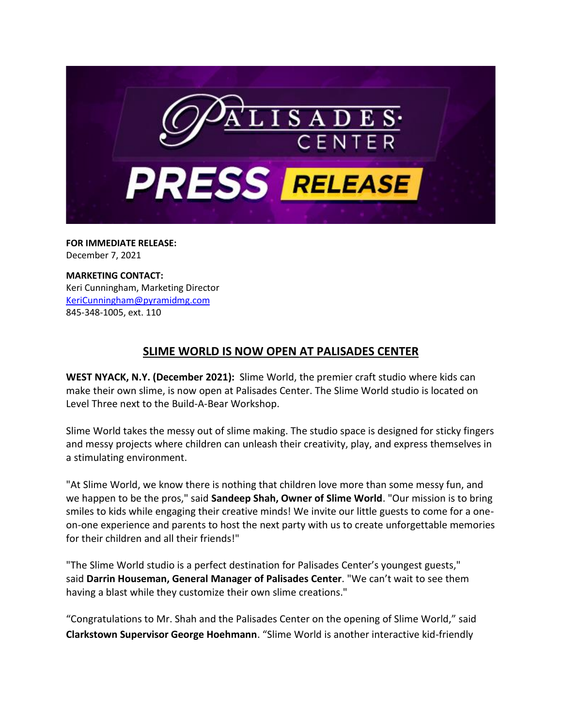

**FOR IMMEDIATE RELEASE:** December 7, 2021

**MARKETING CONTACT:** Keri Cunningham, Marketing Director [KeriCunningham@pyramidmg.com](mailto:KeriCunningham@pyramidmg.com) 845-348-1005, ext. 110

## **SLIME WORLD IS NOW OPEN AT PALISADES CENTER**

**WEST NYACK, N.Y. (December 2021):** Slime World, the premier craft studio where kids can make their own slime, is now open at Palisades Center. The Slime World studio is located on Level Three next to the Build-A-Bear Workshop.

Slime World takes the messy out of slime making. The studio space is designed for sticky fingers and messy projects where children can unleash their creativity, play, and express themselves in a stimulating environment.

"At Slime World, we know there is nothing that children love more than some messy fun, and we happen to be the pros," said **Sandeep Shah, Owner of Slime World**. "Our mission is to bring smiles to kids while engaging their creative minds! We invite our little guests to come for a oneon-one experience and parents to host the next party with us to create unforgettable memories for their children and all their friends!"

"The Slime World studio is a perfect destination for Palisades Center's youngest guests," said **Darrin Houseman, General Manager of Palisades Center**. "We can't wait to see them having a blast while they customize their own slime creations."

"Congratulations to Mr. Shah and the Palisades Center on the opening of Slime World," said **Clarkstown Supervisor George Hoehmann**. "Slime World is another interactive kid-friendly